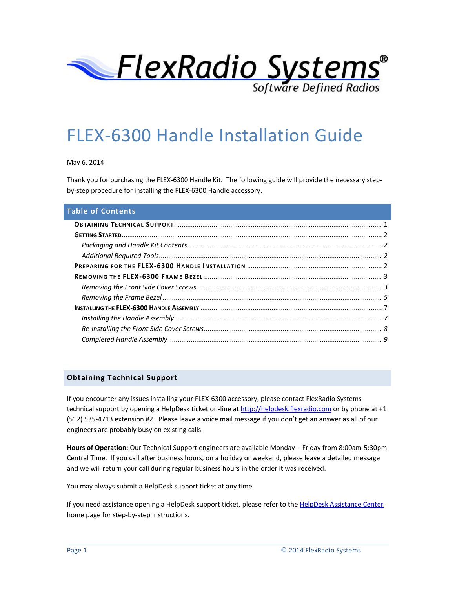

# FLEX-6300 Handle Installation Guide

May 6, 2014

Thank you for purchasing the FLEX-6300 Handle Kit. The following guide will provide the necessary stepby-step procedure for installing the FLEX-6300 Handle accessory.

#### **Table of Contents**

#### <span id="page-0-0"></span>**Obtaining Technical Support**

If you encounter any issues installing your FLEX-6300 accessory, please contact FlexRadio Systems technical support by opening a HelpDesk ticket on-line at [http://helpdesk.flexradio.com](http://helpdesk.flexradio.com/) or by phone at +1 (512) 535-4713 extension #2. Please leave a voice mail message if you don't get an answer as all of our engineers are probably busy on existing calls.

**Hours of Operation**: Our Technical Support engineers are available Monday – Friday from 8:00am-5:30pm Central Time. If you call after business hours, on a holiday or weekend, please leave a detailed message and we will return your call during regular business hours in the order it was received.

You may always submit a HelpDesk support ticket at any time.

If you need assistance opening a HelpDesk support ticket, please refer to th[e HelpDesk Assistance Center](http://helpdesk.flexradio.com/hc/en-us) home page for step-by-step instructions.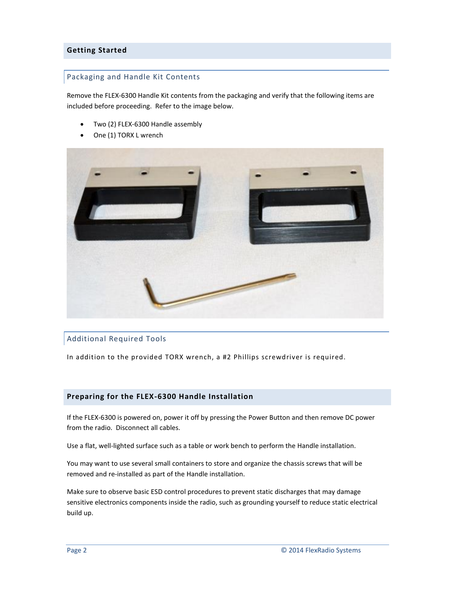## <span id="page-1-1"></span><span id="page-1-0"></span>**Getting Started**

#### Packaging and Handle Kit Contents

Remove the FLEX-6300 Handle Kit contents from the packaging and verify that the following items are included before proceeding. Refer to the image below.

- Two (2) FLEX-6300 Handle assembly
- One (1) TORX L wrench



#### <span id="page-1-2"></span>Additional Required Tools

In addition to the provided TORX wrench, a #2 Phillips screwdriver is required.

#### <span id="page-1-3"></span>**Preparing for the FLEX-6300 Handle Installation**

If the FLEX-6300 is powered on, power it off by pressing the Power Button and then remove DC power from the radio. Disconnect all cables.

Use a flat, well-lighted surface such as a table or work bench to perform the Handle installation.

You may want to use several small containers to store and organize the chassis screws that will be removed and re-installed as part of the Handle installation.

Make sure to observe basic ESD control procedures to prevent static discharges that may damage sensitive electronics components inside the radio, such as grounding yourself to reduce static electrical build up.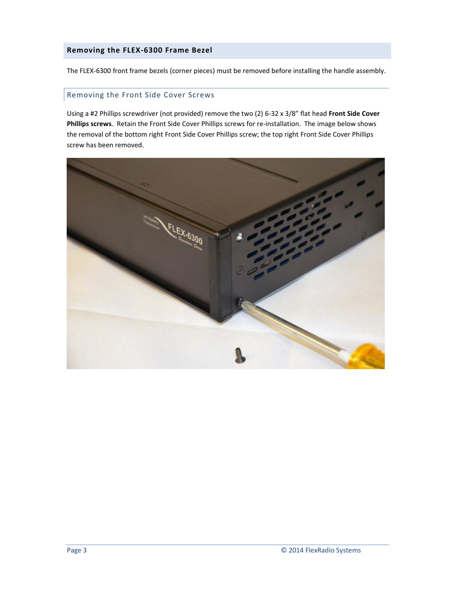#### <span id="page-2-0"></span>**Removing the FLEX-6300 Frame Bezel**

The FLEX-6300 front frame bezels (corner pieces) must be removed before installing the handle assembly.

#### <span id="page-2-1"></span>Removing the Front Side Cover Screws

Using a #2 Phillips screwdriver (not provided) remove the two (2) 6-32 x 3/8" flat head **Front Side Cover Phillips screws**. Retain the Front Side Cover Phillips screws for re-installation. The image below shows the removal of the bottom right Front Side Cover Phillips screw; the top right Front Side Cover Phillips screw has been removed.

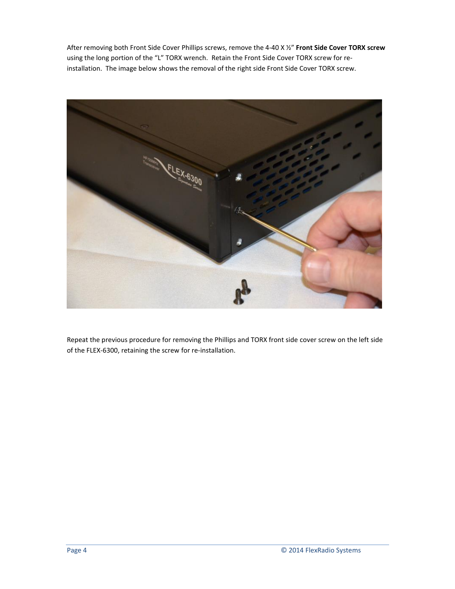After removing both Front Side Cover Phillips screws, remove the 4-40 X ½" **Front Side Cover TORX screw** using the long portion of the "L" TORX wrench. Retain the Front Side Cover TORX screw for reinstallation. The image below shows the removal of the right side Front Side Cover TORX screw.



Repeat the previous procedure for removing the Phillips and TORX front side cover screw on the left side of the FLEX-6300, retaining the screw for re-installation.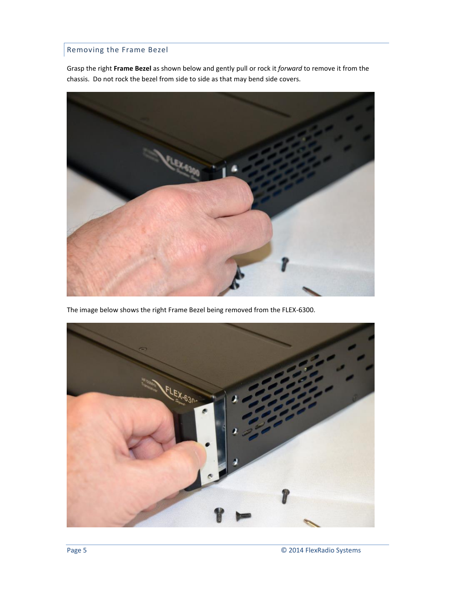# <span id="page-4-0"></span>Removing the Frame Bezel

Grasp the right **Frame Bezel** as shown below and gently pull or rock it *forward* to remove it from the chassis. Do not rock the bezel from side to side as that may bend side covers.



The image below shows the right Frame Bezel being removed from the FLEX-6300.

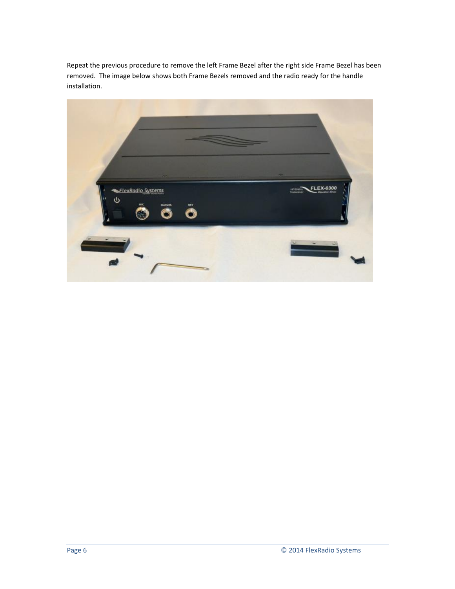Repeat the previous procedure to remove the left Frame Bezel after the right side Frame Bezel has been removed. The image below shows both Frame Bezels removed and the radio ready for the handle installation.

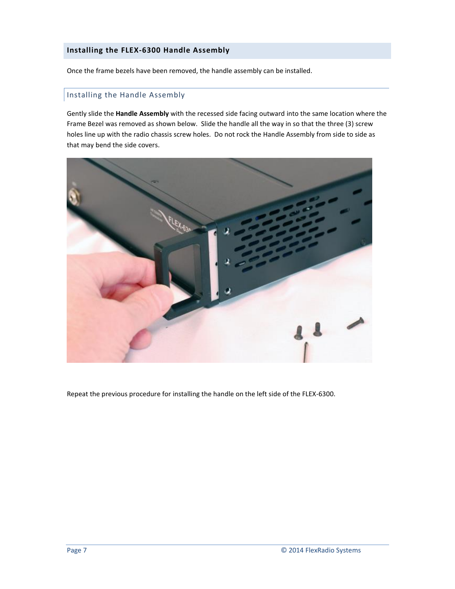#### <span id="page-6-0"></span>**Installing the FLEX-6300 Handle Assembly**

Once the frame bezels have been removed, the handle assembly can be installed.

## <span id="page-6-1"></span>Installing the Handle Assembly

Gently slide the **Handle Assembly** with the recessed side facing outward into the same location where the Frame Bezel was removed as shown below. Slide the handle all the way in so that the three (3) screw holes line up with the radio chassis screw holes. Do not rock the Handle Assembly from side to side as that may bend the side covers.



Repeat the previous procedure for installing the handle on the left side of the FLEX-6300.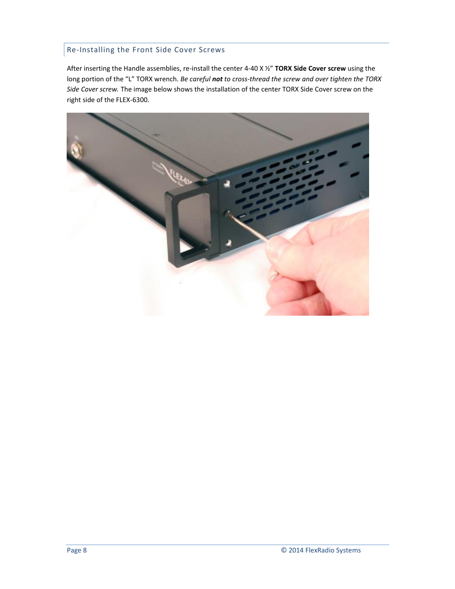## <span id="page-7-0"></span>Re-Installing the Front Side Cover Screws

After inserting the Handle assemblies, re-install the center 4-40 X ½" **TORX Side Cover screw** using the long portion of the "L" TORX wrench. *Be careful not to cross-thread the screw and over tighten the TORX Side Cover screw.* The image below shows the installation of the center TORX Side Cover screw on the right side of the FLEX-6300.